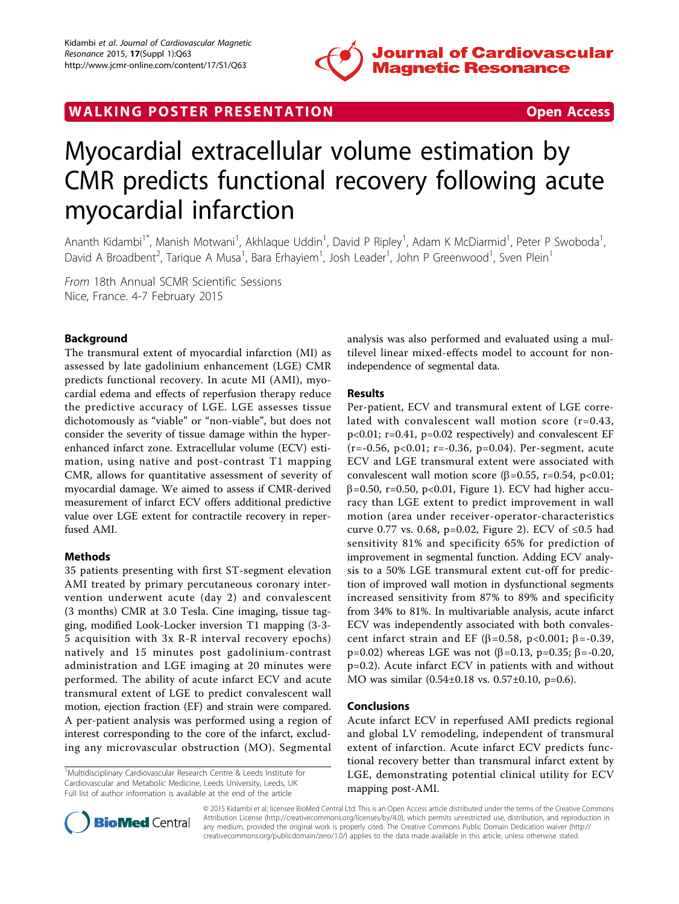

WALKING POSTER PRESENTATION **SECURE 20 YO ACCESS** 

# Myocardial extracellular volume estimation by CMR predicts functional recovery following acute myocardial infarction

Ananth Kidambi<sup>1\*</sup>, Manish Motwani<sup>1</sup>, Akhlaque Uddin<sup>1</sup>, David P Ripley<sup>1</sup>, Adam K McDiarmid<sup>1</sup>, Peter P Swoboda<sup>1</sup> , David A Broadbent<sup>2</sup>, Tarique A Musa<sup>1</sup>, Bara Erhayiem<sup>1</sup>, Josh Leader<sup>1</sup>, John P Greenwood<sup>1</sup>, Sven Plein<sup>1</sup>

From 18th Annual SCMR Scientific Sessions Nice, France. 4-7 February 2015

# Background

The transmural extent of myocardial infarction (MI) as assessed by late gadolinium enhancement (LGE) CMR predicts functional recovery. In acute MI (AMI), myocardial edema and effects of reperfusion therapy reduce the predictive accuracy of LGE. LGE assesses tissue dichotomously as "viable" or "non-viable", but does not consider the severity of tissue damage within the hyperenhanced infarct zone. Extracellular volume (ECV) estimation, using native and post-contrast T1 mapping CMR, allows for quantitative assessment of severity of myocardial damage. We aimed to assess if CMR-derived measurement of infarct ECV offers additional predictive value over LGE extent for contractile recovery in reperfused AMI.

## Methods

35 patients presenting with first ST-segment elevation AMI treated by primary percutaneous coronary intervention underwent acute (day 2) and convalescent (3 months) CMR at 3.0 Tesla. Cine imaging, tissue tagging, modified Look-Locker inversion T1 mapping (3-3- 5 acquisition with 3x R-R interval recovery epochs) natively and 15 minutes post gadolinium-contrast administration and LGE imaging at 20 minutes were performed. The ability of acute infarct ECV and acute transmural extent of LGE to predict convalescent wall motion, ejection fraction (EF) and strain were compared. A per-patient analysis was performed using a region of interest corresponding to the core of the infarct, excluding any microvascular obstruction (MO). Segmental

<sup>1</sup>Multidisciplinary Cardiovascular Research Centre & Leeds Institute for Cardiovascular and Metabolic Medicine, Leeds University, Leeds, UK Full list of author information is available at the end of the article



## Results

Per-patient, ECV and transmural extent of LGE correlated with convalescent wall motion score (r=0.43, p<0.01; r=0.41, p=0.02 respectively) and convalescent EF  $(r=-0.56, p<0.01; r=-0.36, p=0.04)$ . Per-segment, acute ECV and LGE transmural extent were associated with convalescent wall motion score ( $\beta$ =0.55, r=0.54, p<0.01;  $\beta$ =0.50, r=0.50, p<0.01, Figure [1\)](#page-1-0). ECV had higher accuracy than LGE extent to predict improvement in wall motion (area under receiver-operator-characteristics curve 0.77 vs. 0.68, p=0.02, Figure [2\)](#page-1-0). ECV of ≤0.5 had sensitivity 81% and specificity 65% for prediction of improvement in segmental function. Adding ECV analysis to a 50% LGE transmural extent cut-off for prediction of improved wall motion in dysfunctional segments increased sensitivity from 87% to 89% and specificity from 34% to 81%. In multivariable analysis, acute infarct ECV was independently associated with both convalescent infarct strain and EF ( $\beta$ =0.58, p<0.001;  $\beta$ =-0.39, p=0.02) whereas LGE was not (β=0.13, p=0.35; β=-0.20, p=0.2). Acute infarct ECV in patients with and without MO was similar (0.54±0.18 vs. 0.57±0.10, p=0.6).

## Conclusions

Acute infarct ECV in reperfused AMI predicts regional and global LV remodeling, independent of transmural extent of infarction. Acute infarct ECV predicts functional recovery better than transmural infarct extent by LGE, demonstrating potential clinical utility for ECV mapping post-AMI.



© 2015 Kidambi et al; licensee BioMed Central Ltd. This is an Open Access article distributed under the terms of the Creative Commons Attribution License [\(http://creativecommons.org/licenses/by/4.0](http://creativecommons.org/licenses/by/4.0)), which permits unrestricted use, distribution, and reproduction in any medium, provided the original work is properly cited. The Creative Commons Public Domain Dedication waiver [\(http://](http://creativecommons.org/publicdomain/zero/1.0/) [creativecommons.org/publicdomain/zero/1.0/](http://creativecommons.org/publicdomain/zero/1.0/)) applies to the data made available in this article, unless otherwise stated.